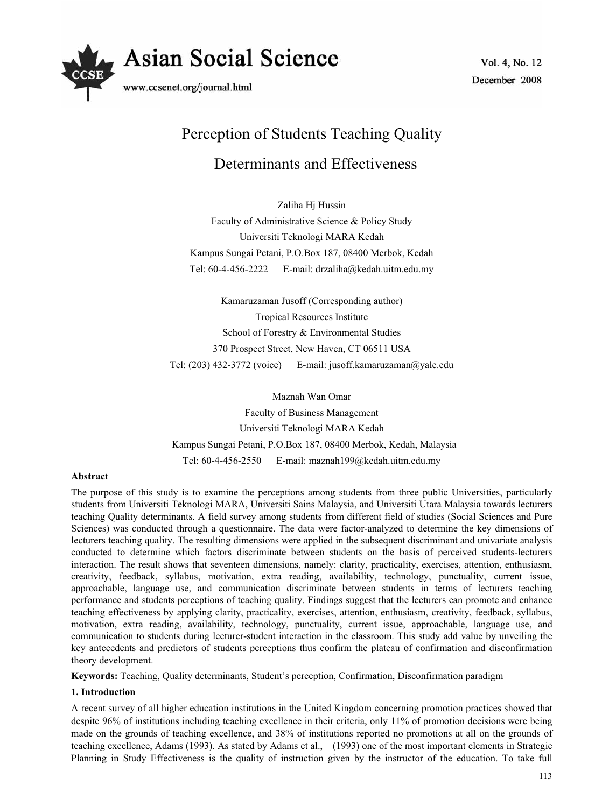

# Perception of Students Teaching Quality

# Determinants and Effectiveness

Zaliha Hj Hussin Faculty of Administrative Science & Policy Study Universiti Teknologi MARA Kedah Kampus Sungai Petani, P.O.Box 187, 08400 Merbok, Kedah Tel: 60-4-456-2222 E-mail: drzaliha@kedah.uitm.edu.my

Kamaruzaman Jusoff (Corresponding author) Tropical Resources Institute School of Forestry & Environmental Studies 370 Prospect Street, New Haven, CT 06511 USA Tel: (203) 432-3772 (voice) E-mail: jusoff.kamaruzaman@yale.edu

Maznah Wan Omar Faculty of Business Management Universiti Teknologi MARA Kedah Kampus Sungai Petani, P.O.Box 187, 08400 Merbok, Kedah, Malaysia Tel: 60-4-456-2550 E-mail: maznah199@kedah.uitm.edu.my

# **Abstract**

The purpose of this study is to examine the perceptions among students from three public Universities, particularly students from Universiti Teknologi MARA, Universiti Sains Malaysia, and Universiti Utara Malaysia towards lecturers teaching Quality determinants. A field survey among students from different field of studies (Social Sciences and Pure Sciences) was conducted through a questionnaire. The data were factor-analyzed to determine the key dimensions of lecturers teaching quality. The resulting dimensions were applied in the subsequent discriminant and univariate analysis conducted to determine which factors discriminate between students on the basis of perceived students-lecturers interaction. The result shows that seventeen dimensions, namely: clarity, practicality, exercises, attention, enthusiasm, creativity, feedback, syllabus, motivation, extra reading, availability, technology, punctuality, current issue, approachable, language use, and communication discriminate between students in terms of lecturers teaching performance and students perceptions of teaching quality. Findings suggest that the lecturers can promote and enhance teaching effectiveness by applying clarity, practicality, exercises, attention, enthusiasm, creativity, feedback, syllabus, motivation, extra reading, availability, technology, punctuality, current issue, approachable, language use, and communication to students during lecturer-student interaction in the classroom. This study add value by unveiling the key antecedents and predictors of students perceptions thus confirm the plateau of confirmation and disconfirmation theory development.

**Keywords:** Teaching, Quality determinants, Student's perception, Confirmation, Disconfirmation paradigm

### **1. Introduction**

A recent survey of all higher education institutions in the United Kingdom concerning promotion practices showed that despite 96% of institutions including teaching excellence in their criteria, only 11% of promotion decisions were being made on the grounds of teaching excellence, and 38% of institutions reported no promotions at all on the grounds of teaching excellence, Adams (1993). As stated by Adams et al., (1993) one of the most important elements in Strategic Planning in Study Effectiveness is the quality of instruction given by the instructor of the education. To take full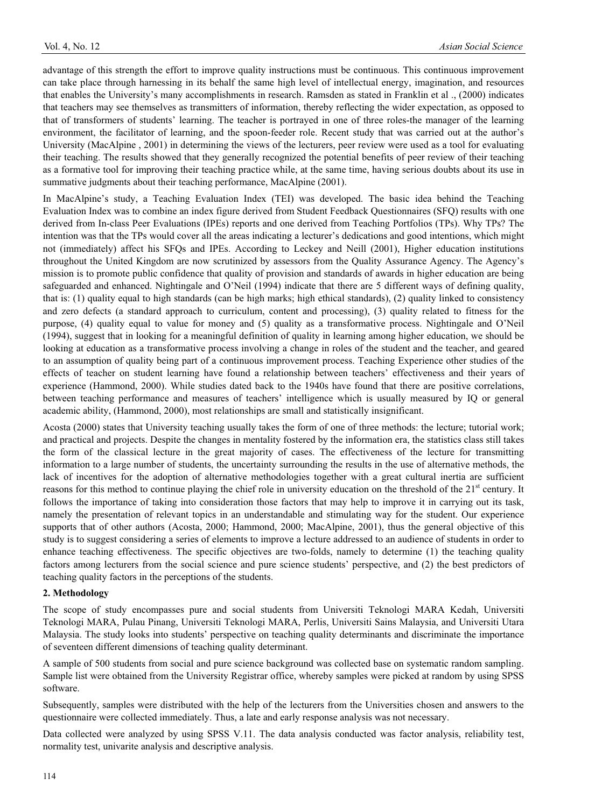advantage of this strength the effort to improve quality instructions must be continuous. This continuous improvement can take place through harnessing in its behalf the same high level of intellectual energy, imagination, and resources that enables the University's many accomplishments in research. Ramsden as stated in Franklin et al ., (2000) indicates that teachers may see themselves as transmitters of information, thereby reflecting the wider expectation, as opposed to that of transformers of students' learning. The teacher is portrayed in one of three roles-the manager of the learning environment, the facilitator of learning, and the spoon-feeder role. Recent study that was carried out at the author's University (MacAlpine , 2001) in determining the views of the lecturers, peer review were used as a tool for evaluating their teaching. The results showed that they generally recognized the potential benefits of peer review of their teaching as a formative tool for improving their teaching practice while, at the same time, having serious doubts about its use in summative judgments about their teaching performance, MacAlpine (2001).

In MacAlpine's study, a Teaching Evaluation Index (TEI) was developed. The basic idea behind the Teaching Evaluation Index was to combine an index figure derived from Student Feedback Questionnaires (SFQ) results with one derived from In-class Peer Evaluations (IPEs) reports and one derived from Teaching Portfolios (TPs). Why TPs? The intention was that the TPs would cover all the areas indicating a lecturer's dedications and good intentions, which might not (immediately) affect his SFQs and IPEs. According to Leckey and Neill (2001), Higher education institutions throughout the United Kingdom are now scrutinized by assessors from the Quality Assurance Agency. The Agency's mission is to promote public confidence that quality of provision and standards of awards in higher education are being safeguarded and enhanced. Nightingale and O'Neil (1994) indicate that there are 5 different ways of defining quality, that is: (1) quality equal to high standards (can be high marks; high ethical standards), (2) quality linked to consistency and zero defects (a standard approach to curriculum, content and processing), (3) quality related to fitness for the purpose, (4) quality equal to value for money and (5) quality as a transformative process. Nightingale and O'Neil (1994), suggest that in looking for a meaningful definition of quality in learning among higher education, we should be looking at education as a transformative process involving a change in roles of the student and the teacher, and geared to an assumption of quality being part of a continuous improvement process. Teaching Experience other studies of the effects of teacher on student learning have found a relationship between teachers' effectiveness and their years of experience (Hammond, 2000). While studies dated back to the 1940s have found that there are positive correlations, between teaching performance and measures of teachers' intelligence which is usually measured by IQ or general academic ability, (Hammond, 2000), most relationships are small and statistically insignificant.

Acosta (2000) states that University teaching usually takes the form of one of three methods: the lecture; tutorial work; and practical and projects. Despite the changes in mentality fostered by the information era, the statistics class still takes the form of the classical lecture in the great majority of cases. The effectiveness of the lecture for transmitting information to a large number of students, the uncertainty surrounding the results in the use of alternative methods, the lack of incentives for the adoption of alternative methodologies together with a great cultural inertia are sufficient reasons for this method to continue playing the chief role in university education on the threshold of the 21<sup>st</sup> century. It follows the importance of taking into consideration those factors that may help to improve it in carrying out its task, namely the presentation of relevant topics in an understandable and stimulating way for the student. Our experience supports that of other authors (Acosta, 2000; Hammond, 2000; MacAlpine, 2001), thus the general objective of this study is to suggest considering a series of elements to improve a lecture addressed to an audience of students in order to enhance teaching effectiveness. The specific objectives are two-folds, namely to determine (1) the teaching quality factors among lecturers from the social science and pure science students' perspective, and (2) the best predictors of teaching quality factors in the perceptions of the students.

## **2. Methodology**

The scope of study encompasses pure and social students from Universiti Teknologi MARA Kedah, Universiti Teknologi MARA, Pulau Pinang, Universiti Teknologi MARA, Perlis, Universiti Sains Malaysia, and Universiti Utara Malaysia. The study looks into students' perspective on teaching quality determinants and discriminate the importance of seventeen different dimensions of teaching quality determinant.

A sample of 500 students from social and pure science background was collected base on systematic random sampling. Sample list were obtained from the University Registrar office, whereby samples were picked at random by using SPSS software.

Subsequently, samples were distributed with the help of the lecturers from the Universities chosen and answers to the questionnaire were collected immediately. Thus, a late and early response analysis was not necessary.

Data collected were analyzed by using SPSS V.11. The data analysis conducted was factor analysis, reliability test, normality test, univarite analysis and descriptive analysis.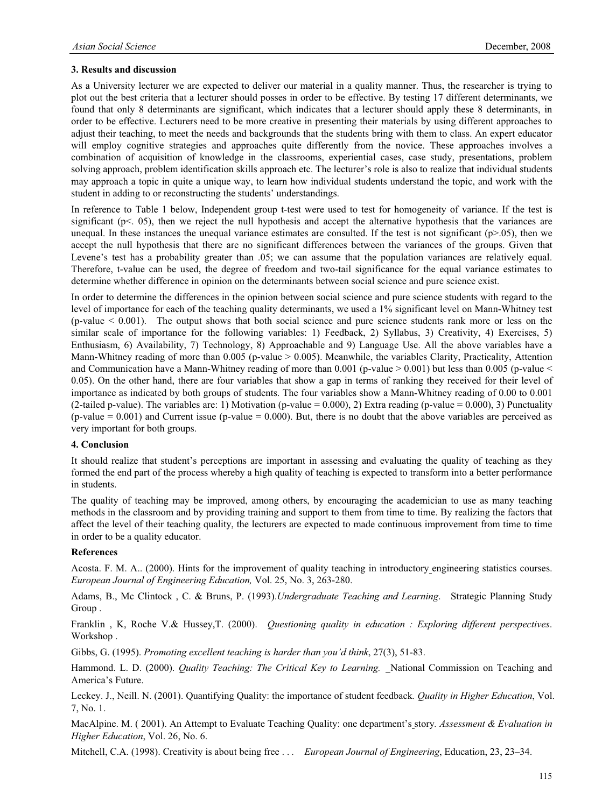#### **3. Results and discussion**

As a University lecturer we are expected to deliver our material in a quality manner. Thus, the researcher is trying to plot out the best criteria that a lecturer should posses in order to be effective. By testing 17 different determinants, we found that only 8 determinants are significant, which indicates that a lecturer should apply these 8 determinants, in order to be effective. Lecturers need to be more creative in presenting their materials by using different approaches to adjust their teaching, to meet the needs and backgrounds that the students bring with them to class. An expert educator will employ cognitive strategies and approaches quite differently from the novice. These approaches involves a combination of acquisition of knowledge in the classrooms, experiential cases, case study, presentations, problem solving approach, problem identification skills approach etc. The lecturer's role is also to realize that individual students may approach a topic in quite a unique way, to learn how individual students understand the topic, and work with the student in adding to or reconstructing the students' understandings.

In reference to Table 1 below, Independent group t-test were used to test for homogeneity of variance. If the test is significant (p<. 05), then we reject the null hypothesis and accept the alternative hypothesis that the variances are unequal. In these instances the unequal variance estimates are consulted. If the test is not significant  $(p>0.05)$ , then we accept the null hypothesis that there are no significant differences between the variances of the groups. Given that Levene's test has a probability greater than .05; we can assume that the population variances are relatively equal. Therefore, t-value can be used, the degree of freedom and two-tail significance for the equal variance estimates to determine whether difference in opinion on the determinants between social science and pure science exist.

In order to determine the differences in the opinion between social science and pure science students with regard to the level of importance for each of the teaching quality determinants, we used a 1% significant level on Mann-Whitney test (p-value < 0.001). The output shows that both social science and pure science students rank more or less on the similar scale of importance for the following variables: 1) Feedback, 2) Syllabus, 3) Creativity, 4) Exercises, 5) Enthusiasm, 6) Availability, 7) Technology, 8) Approachable and 9) Language Use. All the above variables have a Mann-Whitney reading of more than  $0.005$  (p-value  $> 0.005$ ). Meanwhile, the variables Clarity, Practicality, Attention and Communication have a Mann-Whitney reading of more than  $0.001$  (p-value  $> 0.001$ ) but less than  $0.005$  (p-value  $<$ 0.05). On the other hand, there are four variables that show a gap in terms of ranking they received for their level of importance as indicated by both groups of students. The four variables show a Mann-Whitney reading of 0.00 to 0.001 (2-tailed p-value). The variables are: 1) Motivation (p-value  $= 0.000$ ), 2) Extra reading (p-value  $= 0.000$ ), 3) Punctuality  $(p-value = 0.001)$  and Current issue  $(p-value = 0.000)$ . But, there is no doubt that the above variables are perceived as very important for both groups.

#### **4. Conclusion**

It should realize that student's perceptions are important in assessing and evaluating the quality of teaching as they formed the end part of the process whereby a high quality of teaching is expected to transform into a better performance in students.

The quality of teaching may be improved, among others, by encouraging the academician to use as many teaching methods in the classroom and by providing training and support to them from time to time. By realizing the factors that affect the level of their teaching quality, the lecturers are expected to made continuous improvement from time to time in order to be a quality educator.

#### **References**

Acosta. F. M. A.. (2000). Hints for the improvement of quality teaching in introductory engineering statistics courses. *European Journal of Engineering Education,* Vol. 25, No. 3, 263-280.

Adams, B., Mc Clintock , C. & Bruns, P. (1993).*Undergraduate Teaching and Learning*. Strategic Planning Study Group .

Franklin , K, Roche V.& Hussey,T. (2000). *Questioning quality in education : Exploring different perspectives*. Workshop .

Gibbs, G. (1995). *Promoting excellent teaching is harder than you'd think*, 27(3), 51-83.

Hammond. L. D. (2000). *Quality Teaching: The Critical Key to Learning.* \_National Commission on Teaching and America's Future.

Leckey. J., Neill. N. (2001). Quantifying Quality: the importance of student feedback*. Quality in Higher Education*, Vol. 7, No. 1.

MacAlpine. M. ( 2001). An Attempt to Evaluate Teaching Quality: one department's story*. Assessment & Evaluation in Higher Education*, Vol. 26, No. 6.

Mitchell, C.A. (1998). Creativity is about being free . . *. European Journal of Engineering*, Educati*o*n, 23, 23–34.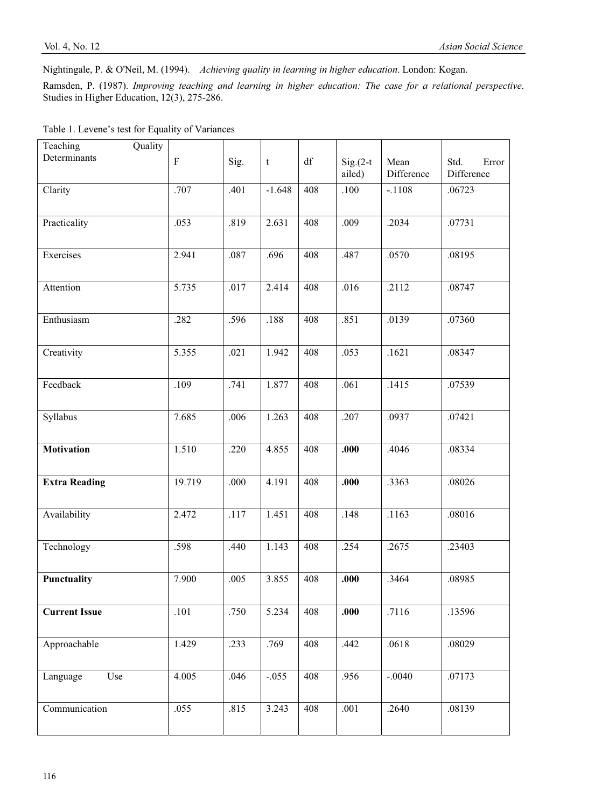Nightingale, P. & O'Neil, M. (1994). *Achieving quality in learning in higher education*. London: Kogan.

Ramsden, P. (1987). *Improving teaching and learning in higher education: The case for a relational perspective*. Studies in Higher Education, 12(3), 275-286.

| Quality<br>Teaching  |                           |      |                           |     |            |            |               |
|----------------------|---------------------------|------|---------------------------|-----|------------|------------|---------------|
| Determinants         | $\boldsymbol{\mathrm{F}}$ | Sig. | $\ensuremath{\mathbf{t}}$ | df  | $Sig(2-t)$ | Mean       | Std.<br>Error |
|                      |                           |      |                           |     | ailed)     | Difference | Difference    |
| Clarity              | .707                      | .401 | $-1.648$                  | 408 | .100       | $-.1108$   | .06723        |
|                      |                           |      |                           |     |            |            |               |
| Practicality         | .053                      | .819 | 2.631                     | 408 | .009       | .2034      | .07731        |
|                      |                           |      |                           |     |            |            |               |
| Exercises            | 2.941                     | .087 | .696                      | 408 | .487       | .0570      | .08195        |
|                      |                           |      |                           |     |            |            |               |
| Attention            | 5.735                     | .017 | 2.414                     | 408 | .016       | .2112      | .08747        |
|                      |                           |      |                           |     |            |            |               |
| Enthusiasm           | .282                      | .596 | .188                      | 408 | .851       | .0139      | .07360        |
|                      |                           |      |                           |     |            |            |               |
| Creativity           | 5.355                     | .021 | 1.942                     | 408 | .053       | .1621      | .08347        |
|                      |                           |      |                           |     |            |            |               |
| Feedback             | .109                      | .741 | 1.877                     | 408 | .061       | .1415      | .07539        |
|                      |                           |      |                           |     |            |            |               |
| Syllabus             | 7.685                     | .006 | 1.263                     | 408 | .207       | .0937      | .07421        |
|                      |                           |      |                           |     |            |            |               |
|                      |                           |      |                           |     |            |            |               |
| <b>Motivation</b>    | 1.510                     | .220 | 4.855                     | 408 | .000       | .4046      | .08334        |
|                      |                           |      |                           |     |            |            |               |
| <b>Extra Reading</b> | 19.719                    | .000 | 4.191                     | 408 | .000       | .3363      | .08026        |
|                      |                           |      |                           |     |            |            |               |
| Availability         | 2.472                     | .117 | 1.451                     | 408 | .148       | .1163      | .08016        |
|                      |                           |      |                           |     |            |            |               |
| Technology           | .598                      | .440 | 1.143                     | 408 | .254       | .2675      | .23403        |
|                      |                           |      |                           |     |            |            |               |
| <b>Punctuality</b>   | 7.900                     | .005 | 3.855                     | 408 | .000       | .3464      | .08985        |
|                      |                           |      |                           |     |            |            |               |
| <b>Current Issue</b> | .101                      | .750 | 5.234                     | 408 | .000       | .7116      | .13596        |
|                      |                           |      |                           |     |            |            |               |
| Approachable         | 1.429                     | .233 | .769                      | 408 | .442       | .0618      | .08029        |
|                      |                           |      |                           |     |            |            |               |
| Use<br>Language      | 4.005                     | .046 | $-.055$                   | 408 | .956       | $-.0040$   | .07173        |
|                      |                           |      |                           |     |            |            |               |
| Communication        | .055                      | .815 | 3.243                     | 408 | .001       | .2640      | .08139        |
|                      |                           |      |                           |     |            |            |               |
|                      |                           |      |                           |     |            |            |               |